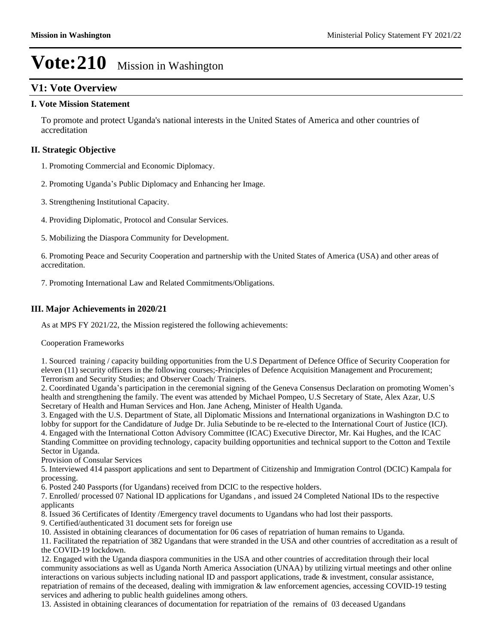## **V1: Vote Overview**

#### **I. Vote Mission Statement**

To promote and protect Uganda's national interests in the United States of America and other countries of accreditation

#### **II. Strategic Objective**

1. Promoting Commercial and Economic Diplomacy.

- 2. Promoting Uganda's Public Diplomacy and Enhancing her Image.
- 3. Strengthening Institutional Capacity.

4. Providing Diplomatic, Protocol and Consular Services.

5. Mobilizing the Diaspora Community for Development.

6. Promoting Peace and Security Cooperation and partnership with the United States of America (USA) and other areas of accreditation.

7. Promoting International Law and Related Commitments/Obligations.

### **III. Major Achievements in 2020/21**

As at MPS FY 2021/22, the Mission registered the following achievements:

Cooperation Frameworks

1. Sourced training / capacity building opportunities from the U.S Department of Defence Office of Security Cooperation for eleven (11) security officers in the following courses;-Principles of Defence Acquisition Management and Procurement; Terrorism and Security Studies; and Observer Coach/ Trainers.

2. Coordinated Uganda's participation in the ceremonial signing of the Geneva Consensus Declaration on promoting Women's health and strengthening the family. The event was attended by Michael Pompeo, U.S Secretary of State, Alex Azar, U.S Secretary of Health and Human Services and Hon. Jane Acheng, Minister of Health Uganda.

3. Engaged with the U.S. Department of State, all Diplomatic Missions and International organizations in Washington D.C to lobby for support for the Candidature of Judge Dr. Julia Sebutinde to be re-elected to the International Court of Justice (ICJ). 4. Engaged with the International Cotton Advisory Committee (ICAC) Executive Director, Mr. Kai Hughes, and the ICAC Standing Committee on providing technology, capacity building opportunities and technical support to the Cotton and Textile Sector in Uganda.

Provision of Consular Services

5. Interviewed 414 passport applications and sent to Department of Citizenship and Immigration Control (DCIC) Kampala for processing.

6. Posted 240 Passports (for Ugandans) received from DCIC to the respective holders.

7. Enrolled/ processed 07 National ID applications for Ugandans , and issued 24 Completed National IDs to the respective applicants

8. Issued 36 Certificates of Identity /Emergency travel documents to Ugandans who had lost their passports.

9. Certified/authenticated 31 document sets for foreign use

10. Assisted in obtaining clearances of documentation for 06 cases of repatriation of human remains to Uganda.

11. Facilitated the repatriation of 382 Ugandans that were stranded in the USA and other countries of accreditation as a result of the COVID-19 lockdown.

12. Engaged with the Uganda diaspora communities in the USA and other countries of accreditation through their local community associations as well as Uganda North America Association (UNAA) by utilizing virtual meetings and other online interactions on various subjects including national ID and passport applications, trade & investment, consular assistance, repatriation of remains of the deceased, dealing with immigration & law enforcement agencies, accessing COVID-19 testing services and adhering to public health guidelines among others.

13. Assisted in obtaining clearances of documentation for repatriation of the remains of 03 deceased Ugandans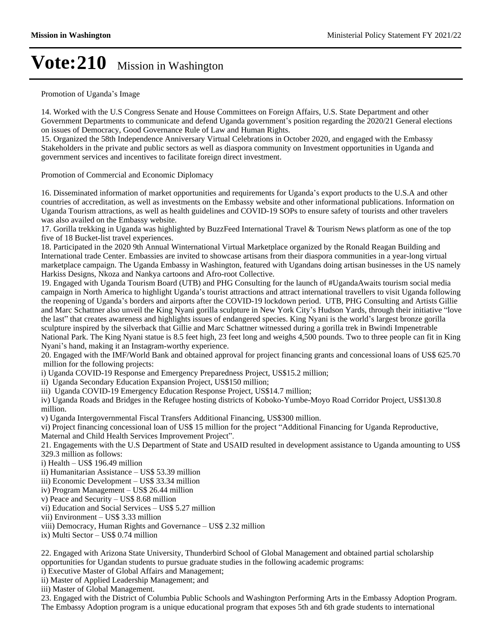#### Promotion of Uganda's Image

14. Worked with the U.S Congress Senate and House Committees on Foreign Affairs, U.S. State Department and other Government Departments to communicate and defend Uganda government's position regarding the 2020/21 General elections on issues of Democracy, Good Governance Rule of Law and Human Rights.

15. Organized the 58th Independence Anniversary Virtual Celebrations in October 2020, and engaged with the Embassy Stakeholders in the private and public sectors as well as diaspora community on Investment opportunities in Uganda and government services and incentives to facilitate foreign direct investment.

#### Promotion of Commercial and Economic Diplomacy

16. Disseminated information of market opportunities and requirements for Uganda's export products to the U.S.A and other countries of accreditation, as well as investments on the Embassy website and other informational publications. Information on Uganda Tourism attractions, as well as health guidelines and COVID-19 SOPs to ensure safety of tourists and other travelers was also availed on the Embassy website.

17. Gorilla trekking in Uganda was highlighted by BuzzFeed International Travel & Tourism News platform as one of the top five of 18 Bucket-list travel experiences.

18. Participated in the 2020 9th Annual Winternational Virtual Marketplace organized by the Ronald Reagan Building and International trade Center. Embassies are invited to showcase artisans from their diaspora communities in a year-long virtual marketplace campaign. The Uganda Embassy in Washington, featured with Ugandans doing artisan businesses in the US namely Harkiss Designs, Nkoza and Nankya cartoons and Afro-root Collective.

19. Engaged with Uganda Tourism Board (UTB) and PHG Consulting for the launch of #UgandaAwaits tourism social media campaign in North America to highlight Uganda's tourist attractions and attract international travellers to visit Uganda following the reopening of Uganda's borders and airports after the COVID-19 lockdown period. UTB, PHG Consulting and Artists Gillie and Marc Schattner also unveil the King Nyani gorilla sculpture in New York City's Hudson Yards, through their initiative "love the last" that creates awareness and highlights issues of endangered species. King Nyani is the world's largest bronze gorilla sculpture inspired by the silverback that Gillie and Marc Schattner witnessed during a gorilla trek in Bwindi Impenetrable National Park. The King Nyani statue is 8.5 feet high, 23 feet long and weighs 4,500 pounds. Two to three people can fit in King Nyani's hand, making it an Instagram-worthy experience.

20. Engaged with the IMF/World Bank and obtained approval for project financing grants and concessional loans of US\$ 625.70 million for the following projects:

i) Uganda COVID-19 Response and Emergency Preparedness Project, US\$15.2 million;

ii) Uganda Secondary Education Expansion Project, US\$150 million;

iii) Uganda COVID-19 Emergency Education Response Project, US\$14.7 million;

iv) Uganda Roads and Bridges in the Refugee hosting districts of Koboko-Yumbe-Moyo Road Corridor Project, US\$130.8 million.

v) Uganda Intergovernmental Fiscal Transfers Additional Financing, US\$300 million.

vi) Project financing concessional loan of US\$ 15 million for the project "Additional Financing for Uganda Reproductive, Maternal and Child Health Services Improvement Project".

21. Engagements with the U.S Department of State and USAID resulted in development assistance to Uganda amounting to US\$ 329.3 million as follows:

i) Health  $-$  US\$ 196.49 million

ii) Humanitarian Assistance - US\$ 53.39 million

iii) Economic Development – US\$ 33.34 million

- iv) Program Management US\$ 26.44 million
- v) Peace and Security  $-\text{US$ }8.68$  million
- vi) Education and Social Services US\$ 5.27 million
- vii) Environment US\$ 3.33 million
- viii) Democracy, Human Rights and Governance US\$ 2.32 million
- ix) Multi Sector  $-$  US\$ 0.74 million

22. Engaged with Arizona State University, Thunderbird School of Global Management and obtained partial scholarship opportunities for Ugandan students to pursue graduate studies in the following academic programs:

i) Executive Master of Global Affairs and Management;

ii) Master of Applied Leadership Management; and

iii) Master of Global Management.

23. Engaged with the District of Columbia Public Schools and Washington Performing Arts in the Embassy Adoption Program. The Embassy Adoption program is a unique educational program that exposes 5th and 6th grade students to international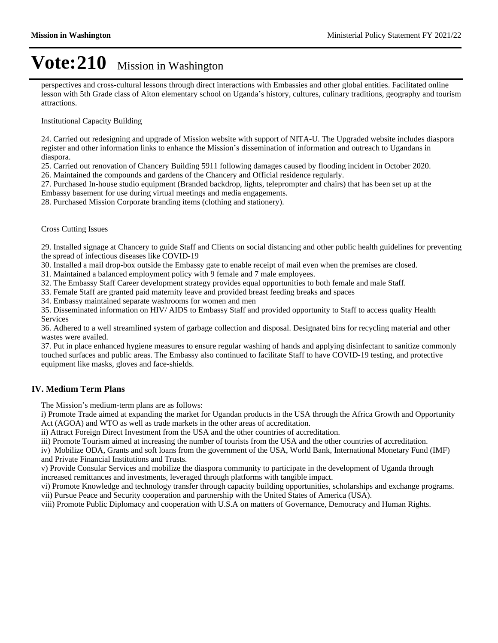perspectives and cross-cultural lessons through direct interactions with Embassies and other global entities. Facilitated online lesson with 5th Grade class of Aiton elementary school on Uganda's history, cultures, culinary traditions, geography and tourism attractions.

Institutional Capacity Building

24. Carried out redesigning and upgrade of Mission website with support of NITA-U. The Upgraded website includes diaspora register and other information links to enhance the Mission's dissemination of information and outreach to Ugandans in diaspora.

25. Carried out renovation of Chancery Building 5911 following damages caused by flooding incident in October 2020.

26. Maintained the compounds and gardens of the Chancery and Official residence regularly.

27. Purchased In-house studio equipment (Branded backdrop, lights, teleprompter and chairs) that has been set up at the Embassy basement for use during virtual meetings and media engagements.

28. Purchased Mission Corporate branding items (clothing and stationery).

#### Cross Cutting Issues

29. Installed signage at Chancery to guide Staff and Clients on social distancing and other public health guidelines for preventing the spread of infectious diseases like COVID-19

30. Installed a mail drop-box outside the Embassy gate to enable receipt of mail even when the premises are closed.

31. Maintained a balanced employment policy with 9 female and 7 male employees.

32. The Embassy Staff Career development strategy provides equal opportunities to both female and male Staff.

33. Female Staff are granted paid maternity leave and provided breast feeding breaks and spaces

34. Embassy maintained separate washrooms for women and men

35. Disseminated information on HIV/ AIDS to Embassy Staff and provided opportunity to Staff to access quality Health Services

36. Adhered to a well streamlined system of garbage collection and disposal. Designated bins for recycling material and other wastes were availed.

37. Put in place enhanced hygiene measures to ensure regular washing of hands and applying disinfectant to sanitize commonly touched surfaces and public areas. The Embassy also continued to facilitate Staff to have COVID-19 testing, and protective equipment like masks, gloves and face-shields.

#### **IV. Medium Term Plans**

The Mission's medium-term plans are as follows:

i) Promote Trade aimed at expanding the market for Ugandan products in the USA through the Africa Growth and Opportunity Act (AGOA) and WTO as well as trade markets in the other areas of accreditation.

ii) Attract Foreign Direct Investment from the USA and the other countries of accreditation.

iii) Promote Tourism aimed at increasing the number of tourists from the USA and the other countries of accreditation.

iv) Mobilize ODA, Grants and soft loans from the government of the USA, World Bank, International Monetary Fund (IMF) and Private Financial Institutions and Trusts.

v) Provide Consular Services and mobilize the diaspora community to participate in the development of Uganda through increased remittances and investments, leveraged through platforms with tangible impact.

vi) Promote Knowledge and technology transfer through capacity building opportunities, scholarships and exchange programs. vii) Pursue Peace and Security cooperation and partnership with the United States of America (USA).

viii) Promote Public Diplomacy and cooperation with U.S.A on matters of Governance, Democracy and Human Rights.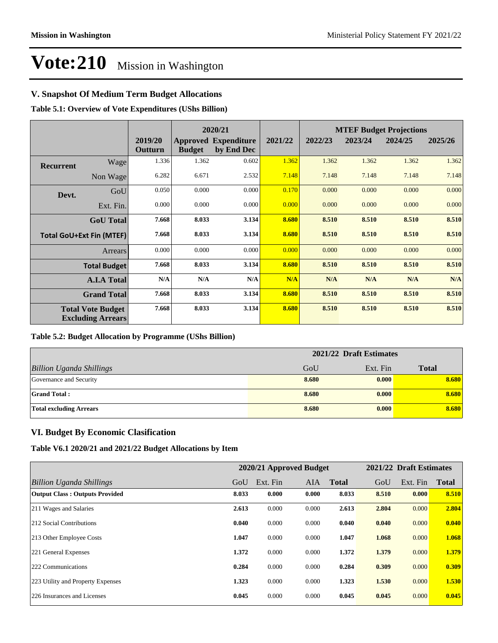### **V. Snapshot Of Medium Term Budget Allocations**

**Table 5.1: Overview of Vote Expenditures (UShs Billion)**

|                  |                                                      |                    |               | 2020/21                                   |         | <b>MTEF Budget Projections</b> |         |         |         |  |
|------------------|------------------------------------------------------|--------------------|---------------|-------------------------------------------|---------|--------------------------------|---------|---------|---------|--|
|                  |                                                      | 2019/20<br>Outturn | <b>Budget</b> | <b>Approved Expenditure</b><br>by End Dec | 2021/22 | 2022/23                        | 2023/24 | 2024/25 | 2025/26 |  |
| <b>Recurrent</b> | Wage                                                 | 1.336              | 1.362         | 0.602                                     | 1.362   | 1.362                          | 1.362   | 1.362   | 1.362   |  |
|                  | Non Wage                                             | 6.282              | 6.671         | 2.532                                     | 7.148   | 7.148                          | 7.148   | 7.148   | 7.148   |  |
| Devt.            | GoU                                                  | 0.050              | 0.000         | 0.000                                     | 0.170   | 0.000                          | 0.000   | 0.000   | 0.000   |  |
|                  | Ext. Fin.                                            | 0.000              | 0.000         | 0.000                                     | 0.000   | 0.000                          | 0.000   | 0.000   | 0.000   |  |
|                  | <b>GoU</b> Total                                     | 7.668              | 8.033         | 3.134                                     | 8.680   | 8.510                          | 8.510   | 8.510   | 8.510   |  |
|                  | <b>Total GoU+Ext Fin (MTEF)</b>                      | 7.668              | 8.033         | 3.134                                     | 8.680   | 8.510                          | 8.510   | 8.510   | 8.510   |  |
|                  | <b>Arrears</b>                                       | 0.000              | 0.000         | 0.000                                     | 0.000   | 0.000                          | 0.000   | 0.000   | 0.000   |  |
|                  | <b>Total Budget</b>                                  | 7.668              | 8.033         | 3.134                                     | 8.680   | 8.510                          | 8.510   | 8.510   | 8.510   |  |
|                  | <b>A.I.A Total</b>                                   | N/A                | N/A           | N/A                                       | N/A     | N/A                            | N/A     | N/A     | N/A     |  |
|                  | <b>Grand Total</b>                                   | 7.668              | 8.033         | 3.134                                     | 8.680   | 8.510                          | 8.510   | 8.510   | 8.510   |  |
|                  | <b>Total Vote Budget</b><br><b>Excluding Arrears</b> | 7.668              | 8.033         | 3.134                                     | 8.680   | 8.510                          | 8.510   | 8.510   | 8.510   |  |

#### **Table 5.2: Budget Allocation by Programme (UShs Billion)**

|                                 | 2021/22 Draft Estimates |          |              |
|---------------------------------|-------------------------|----------|--------------|
| <b>Billion Uganda Shillings</b> | GoU                     | Ext. Fin | <b>Total</b> |
| Governance and Security         | 8.680                   | 0.000    | 8.680        |
| <b>Grand Total:</b>             | 8.680                   | 0.000    | 8.680        |
| <b>Total excluding Arrears</b>  | 8.680                   | 0.000    | 8.680        |

#### **VI. Budget By Economic Clasification**

**Table V6.1 2020/21 and 2021/22 Budget Allocations by Item**

|                                       | 2020/21 Approved Budget |          |            | 2021/22 Draft Estimates |       |          |              |
|---------------------------------------|-------------------------|----------|------------|-------------------------|-------|----------|--------------|
| Billion Uganda Shillings              | GoU                     | Ext. Fin | <b>AIA</b> | <b>Total</b>            | GoU   | Ext. Fin | <b>Total</b> |
| <b>Output Class: Outputs Provided</b> | 8.033                   | 0.000    | 0.000      | 8.033                   | 8.510 | 0.000    | 8.510        |
| 211 Wages and Salaries                | 2.613                   | 0.000    | 0.000      | 2.613                   | 2.804 | 0.000    | 2.804        |
| 212 Social Contributions              | 0.040                   | 0.000    | 0.000      | 0.040                   | 0.040 | 0.000    | 0.040        |
| 213 Other Employee Costs              | 1.047                   | 0.000    | 0.000      | 1.047                   | 1.068 | 0.000    | 1.068        |
| 221 General Expenses                  | 1.372                   | 0.000    | 0.000      | 1.372                   | 1.379 | 0.000    | 1.379        |
| 222 Communications                    | 0.284                   | 0.000    | 0.000      | 0.284                   | 0.309 | 0.000    | 0.309        |
| 223 Utility and Property Expenses     | 1.323                   | 0.000    | 0.000      | 1.323                   | 1.530 | 0.000    | 1.530        |
| 226 Insurances and Licenses           | 0.045                   | 0.000    | 0.000      | 0.045                   | 0.045 | 0.000    | 0.045        |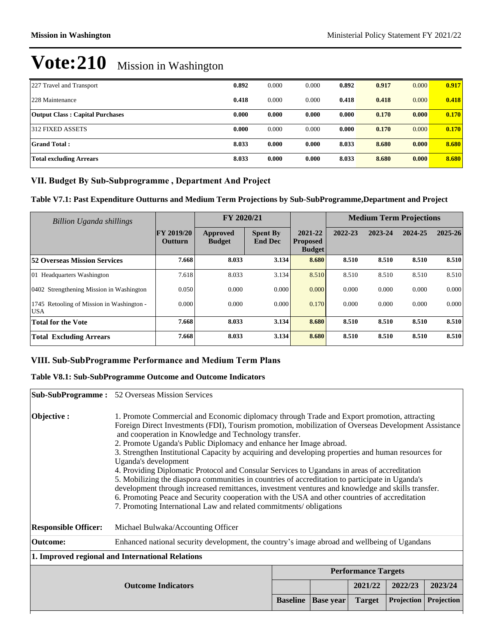| 227 Travel and Transport               | 0.892 | 0.000 | 0.000 | 0.892 | 0.917 | 0.000 | 0.917 |
|----------------------------------------|-------|-------|-------|-------|-------|-------|-------|
| 228 Maintenance                        | 0.418 | 0.000 | 0.000 | 0.418 | 0.418 | 0.000 | 0.418 |
| <b>Output Class: Capital Purchases</b> | 0.000 | 0.000 | 0.000 | 0.000 | 0.170 | 0.000 | 0.170 |
| 312 FIXED ASSETS                       | 0.000 | 0.000 | 0.000 | 0.000 | 0.170 | 0.000 | 0.170 |
| <b>Grand Total:</b>                    | 8.033 | 0.000 | 0.000 | 8.033 | 8.680 | 0.000 | 8.680 |
| <b>Total excluding Arrears</b>         | 8.033 | 0.000 | 0.000 | 8.033 | 8.680 | 0.000 | 8.680 |

## VII. Budget By Sub-Subprogramme, Department And Project

**Table V7.1: Past Expenditure Outturns and Medium Term Projections by Sub-SubProgramme,Department and Project**

| Billion Uganda shillings                                |                                     | FY 2020/21                       |                                   |                                             | <b>Medium Term Projections</b> |         |         |             |
|---------------------------------------------------------|-------------------------------------|----------------------------------|-----------------------------------|---------------------------------------------|--------------------------------|---------|---------|-------------|
|                                                         | <b>FY 2019/20</b><br><b>Outturn</b> | <b>Approved</b><br><b>Budget</b> | <b>Spent By</b><br><b>End Dec</b> | 2021-22<br><b>Proposed</b><br><b>Budget</b> | 2022-23                        | 2023-24 | 2024-25 | $2025 - 26$ |
| <b>52 Overseas Mission Services</b>                     | 7.668                               | 8.033                            | 3.134                             | 8.680                                       | 8.510                          | 8.510   | 8.510   | 8.510       |
| 01 Headquarters Washington                              | 7.618                               | 8.033                            | 3.134                             | 8.510                                       | 8.510                          | 8.510   | 8.510   | 8.510       |
| 0402 Strengthening Mission in Washington                | 0.050                               | 0.000                            | 0.000                             | 0.000                                       | 0.000                          | 0.000   | 0.000   | 0.000       |
| 1745 Retooling of Mission in Washington -<br><b>USA</b> | 0.000                               | 0.000                            | 0.000                             | 0.170                                       | 0.000                          | 0.000   | 0.000   | 0.000       |
| <b>Total for the Vote</b>                               | 7.668                               | 8.033                            | 3.134                             | 8.680                                       | 8.510                          | 8.510   | 8.510   | 8.510       |
| <b>Total Excluding Arrears</b>                          | 7.668                               | 8.033                            | 3.134                             | 8.680                                       | 8.510                          | 8.510   | 8.510   | 8.510       |

#### VIII. Sub-SubProgramme Performance and Medium Term Plans

#### **Table V8.1: Sub-SubProgramme Outcome and Outcome Indicators**

|                             | <b>Sub-SubProgramme :</b> 52 Overseas Mission Services                                                                                                                                                                                                                                                                                                                                                                                                                                                                                                                                                                                                                                                                                                                                                                                                                                                                                           |                 |                  |               |                   |            |  |  |
|-----------------------------|--------------------------------------------------------------------------------------------------------------------------------------------------------------------------------------------------------------------------------------------------------------------------------------------------------------------------------------------------------------------------------------------------------------------------------------------------------------------------------------------------------------------------------------------------------------------------------------------------------------------------------------------------------------------------------------------------------------------------------------------------------------------------------------------------------------------------------------------------------------------------------------------------------------------------------------------------|-----------------|------------------|---------------|-------------------|------------|--|--|
| Objective:                  | 1. Promote Commercial and Economic diplomacy through Trade and Export promotion, attracting<br>Foreign Direct Investments (FDI), Tourism promotion, mobilization of Overseas Development Assistance<br>and cooperation in Knowledge and Technology transfer.<br>2. Promote Uganda's Public Diplomacy and enhance her Image abroad.<br>3. Strengthen Institutional Capacity by acquiring and developing properties and human resources for<br>Uganda's development<br>4. Providing Diplomatic Protocol and Consular Services to Ugandans in areas of accreditation<br>5. Mobilizing the diaspora communities in countries of accreditation to participate in Uganda's<br>development through increased remittances, investment ventures and knowledge and skills transfer.<br>6. Promoting Peace and Security cooperation with the USA and other countries of accreditation<br>7. Promoting International Law and related commitments/obligations |                 |                  |               |                   |            |  |  |
| <b>Responsible Officer:</b> | Michael Bulwaka/Accounting Officer                                                                                                                                                                                                                                                                                                                                                                                                                                                                                                                                                                                                                                                                                                                                                                                                                                                                                                               |                 |                  |               |                   |            |  |  |
| Outcome:                    | Enhanced national security development, the country's image abroad and wellbeing of Ugandans                                                                                                                                                                                                                                                                                                                                                                                                                                                                                                                                                                                                                                                                                                                                                                                                                                                     |                 |                  |               |                   |            |  |  |
|                             | 1. Improved regional and International Relations                                                                                                                                                                                                                                                                                                                                                                                                                                                                                                                                                                                                                                                                                                                                                                                                                                                                                                 |                 |                  |               |                   |            |  |  |
|                             | <b>Performance Targets</b>                                                                                                                                                                                                                                                                                                                                                                                                                                                                                                                                                                                                                                                                                                                                                                                                                                                                                                                       |                 |                  |               |                   |            |  |  |
|                             | <b>Outcome Indicators</b>                                                                                                                                                                                                                                                                                                                                                                                                                                                                                                                                                                                                                                                                                                                                                                                                                                                                                                                        |                 |                  | 2021/22       | 2022/23           | 2023/24    |  |  |
|                             |                                                                                                                                                                                                                                                                                                                                                                                                                                                                                                                                                                                                                                                                                                                                                                                                                                                                                                                                                  | <b>Baseline</b> | <b>Base year</b> | <b>Target</b> | <b>Projection</b> | Projection |  |  |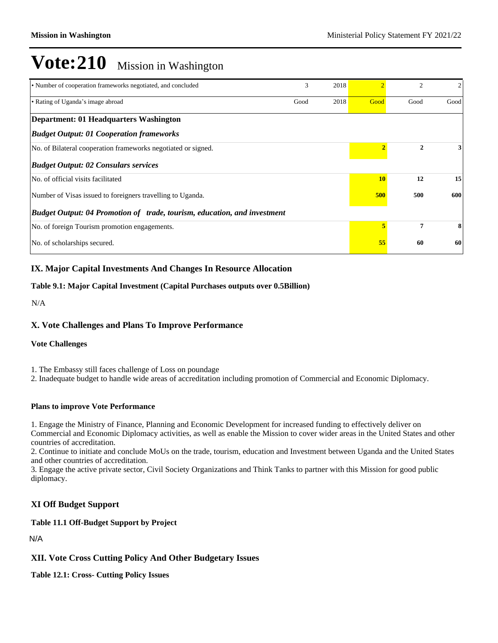| • Number of cooperation frameworks negotiated, and concluded             | 3    | 2018 |           | 2    | $\overline{c}$ |
|--------------------------------------------------------------------------|------|------|-----------|------|----------------|
| • Rating of Uganda's image abroad                                        | Good | 2018 | Good      | Good | Good           |
| Department: 01 Headquarters Washington                                   |      |      |           |      |                |
| <b>Budget Output: 01 Cooperation frameworks</b>                          |      |      |           |      |                |
| No. of Bilateral cooperation frameworks negotiated or signed.            |      |      |           | 2    | 3              |
| <b>Budget Output: 02 Consulars services</b>                              |      |      |           |      |                |
| No. of official visits facilitated                                       |      |      | <b>10</b> | 12   | 15             |
| Number of Visas issued to foreigners travelling to Uganda.               |      |      |           | 500  | 600            |
| Budget Output: 04 Promotion of trade, tourism, education, and investment |      |      |           |      |                |
| No. of foreign Tourism promotion engagements.                            |      |      | 5         | 7    | 8              |
| No. of scholarships secured.                                             |      |      | 55        | 60   | 60             |

### **IX. Major Capital Investments And Changes In Resource Allocation**

#### **Table 9.1: Major Capital Investment (Capital Purchases outputs over 0.5Billion)**

N/A

#### **X. Vote Challenges and Plans To Improve Performance**

#### **Vote Challenges**

1. The Embassy still faces challenge of Loss on poundage

2. Inadequate budget to handle wide areas of accreditation including promotion of Commercial and Economic Diplomacy.

#### **Plans to improve Vote Performance**

1. Engage the Ministry of Finance, Planning and Economic Development for increased funding to effectively deliver on Commercial and Economic Diplomacy activities, as well as enable the Mission to cover wider areas in the United States and other countries of accreditation.

2. Continue to initiate and conclude MoUs on the trade, tourism, education and Investment between Uganda and the United States and other countries of accreditation.

3. Engage the active private sector, Civil Society Organizations and Think Tanks to partner with this Mission for good public diplomacy.

#### **XI Off Budget Support**

**Table 11.1 Off-Budget Support by Project**

N/A

#### **XII. Vote Cross Cutting Policy And Other Budgetary Issues**

**Table 12.1: Cross- Cutting Policy Issues**